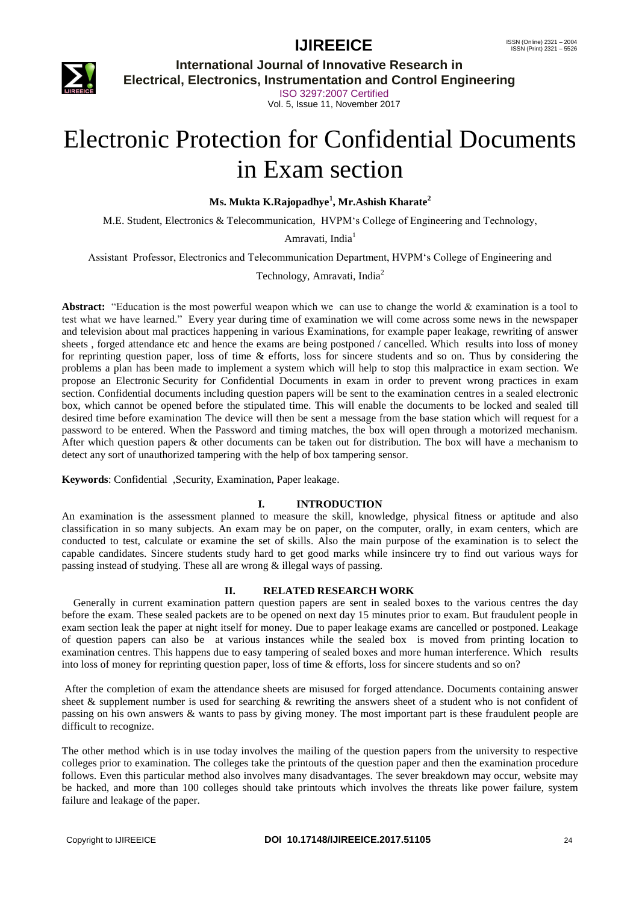

**International Journal of Innovative Research in**

**Electrical, Electronics, Instrumentation and Control Engineering**

ISO 3297:2007 Certified Vol. 5, Issue 11, November 2017

# Electronic Protection for Confidential Documents in Exam section

**Ms. Mukta K.Rajopadhye<sup>1</sup> , Mr.Ashish Kharate<sup>2</sup>**

M.E. Student, Electronics & Telecommunication, HVPM"s College of Engineering and Technology,

Amravati, India<sup>1</sup>

Assistant Professor, Electronics and Telecommunication Department, HVPM"s College of Engineering and

Technology, Amravati, India<sup>2</sup>

**Abstract:** "Education is the most powerful weapon which we can use to change the world & examination is a tool to test what we have learned." Every year during time of examination we will come across some news in the newspaper and television about mal practices happening in various Examinations, for example paper leakage, rewriting of answer sheets , forged attendance etc and hence the exams are being postponed / cancelled. Which results into loss of money for reprinting question paper, loss of time & efforts, loss for sincere students and so on. Thus by considering the problems a plan has been made to implement a system which will help to stop this malpractice in exam section. We propose an Electronic Security for Confidential Documents in exam in order to prevent wrong practices in exam section. Confidential documents including question papers will be sent to the examination centres in a sealed electronic box, which cannot be opened before the stipulated time. This will enable the documents to be locked and sealed till desired time before examination The device will then be sent a message from the base station which will request for a password to be entered. When the Password and timing matches, the box will open through a motorized mechanism. After which question papers & other documents can be taken out for distribution. The box will have a mechanism to detect any sort of unauthorized tampering with the help of box tampering sensor.

**Keywords**: Confidential ,Security, Examination, Paper leakage.

#### **I. INTRODUCTION**

An examination is the assessment planned to measure the skill, knowledge, physical fitness or aptitude and also classification in so many subjects. An exam may be on paper, on the computer, orally, in exam centers, which are conducted to test, calculate or examine the set of skills. Also the main purpose of the examination is to select the capable candidates. Sincere students study hard to get good marks while insincere try to find out various ways for passing instead of studying. These all are wrong & illegal ways of passing.

#### **II. RELATED RESEARCH WORK**

Generally in current examination pattern question papers are sent in sealed boxes to the various centres the day before the exam. These sealed packets are to be opened on next day 15 minutes prior to exam. But fraudulent people in exam section leak the paper at night itself for money. Due to paper leakage exams are cancelled or postponed. Leakage of question papers can also be at various instances while the sealed box is moved from printing location to examination centres. This happens due to easy tampering of sealed boxes and more human interference. Which results into loss of money for reprinting question paper, loss of time & efforts, loss for sincere students and so on?

After the completion of exam the attendance sheets are misused for forged attendance. Documents containing answer sheet & supplement number is used for searching & rewriting the answers sheet of a student who is not confident of passing on his own answers & wants to pass by giving money. The most important part is these fraudulent people are difficult to recognize.

The other method which is in use today involves the mailing of the question papers from the university to respective colleges prior to examination. The colleges take the printouts of the question paper and then the examination procedure follows. Even this particular method also involves many disadvantages. The sever breakdown may occur, website may be hacked, and more than 100 colleges should take printouts which involves the threats like power failure, system failure and leakage of the paper.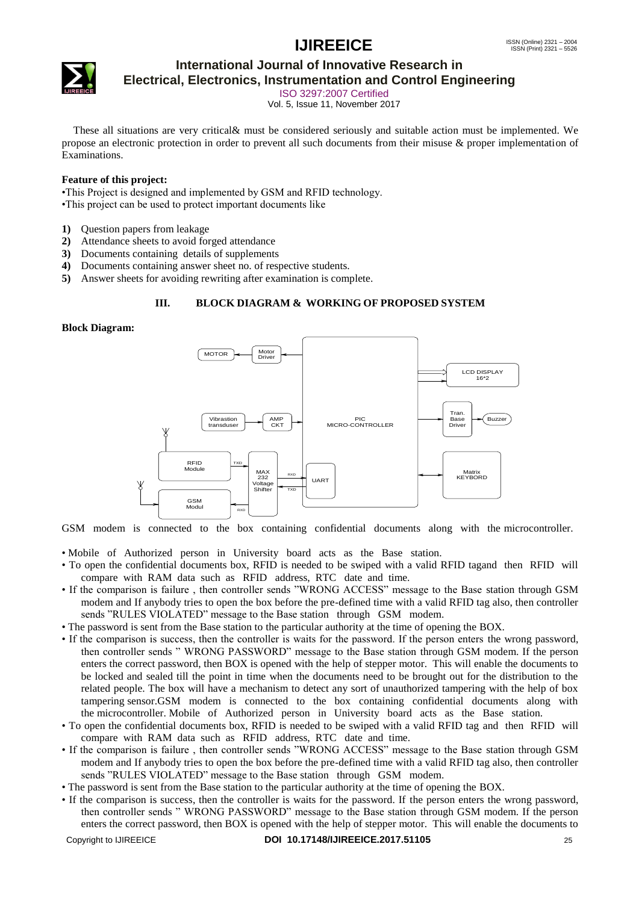

# **International Journal of Innovative Research in**

**Electrical, Electronics, Instrumentation and Control Engineering**

ISO 3297:2007 Certified Vol. 5, Issue 11, November 2017

These all situations are very critical& must be considered seriously and suitable action must be implemented. We propose an electronic protection in order to prevent all such documents from their misuse & proper implementation of Examinations.

#### **Feature of this project:**

•This Project is designed and implemented by GSM and RFID technology.

•This project can be used to protect important documents like

- **1)** Question papers from leakage
- **2)** Attendance sheets to avoid forged attendance
- **3)** Documents containing details of supplements
- **4)** Documents containing answer sheet no. of respective students.
- **5)** Answer sheets for avoiding rewriting after examination is complete.

#### **III. BLOCK DIAGRAM & WORKING OF PROPOSED SYSTEM**

#### **Block Diagram:**



GSM modem is connected to the box containing confidential documents along with the microcontroller.

• Mobile of Authorized person in University board acts as the Base station.

- To open the confidential documents box, RFID is needed to be swiped with a valid RFID tagand then RFID will compare with RAM data such as RFID address, RTC date and time.
- If the comparison is failure , then controller sends "WRONG ACCESS" message to the Base station through GSM modem and If anybody tries to open the box before the pre-defined time with a valid RFID tag also, then controller sends "RULES VIOLATED" message to the Base station through GSM modem.
- The password is sent from the Base station to the particular authority at the time of opening the BOX.
- If the comparison is success, then the controller is waits for the password. If the person enters the wrong password, then controller sends " WRONG PASSWORD" message to the Base station through GSM modem. If the person enters the correct password, then BOX is opened with the help of stepper motor. This will enable the documents to be locked and sealed till the point in time when the documents need to be brought out for the distribution to the related people. The box will have a mechanism to detect any sort of unauthorized tampering with the help of box tampering sensor.GSM modem is connected to the box containing confidential documents along with the microcontroller. Mobile of Authorized person in University board acts as the Base station.
- To open the confidential documents box, RFID is needed to be swiped with a valid RFID tag and then RFID will compare with RAM data such as RFID address, RTC date and time.
- If the comparison is failure , then controller sends "WRONG ACCESS" message to the Base station through GSM modem and If anybody tries to open the box before the pre-defined time with a valid RFID tag also, then controller sends "RULES VIOLATED" message to the Base station through GSM modem.
- The password is sent from the Base station to the particular authority at the time of opening the BOX.
- Copyright to IJIREEICE **DOI 10.17148/IJIREEICE.2017.51105** 25 • If the comparison is success, then the controller is waits for the password. If the person enters the wrong password, then controller sends " WRONG PASSWORD" message to the Base station through GSM modem. If the person enters the correct password, then BOX is opened with the help of stepper motor. This will enable the documents to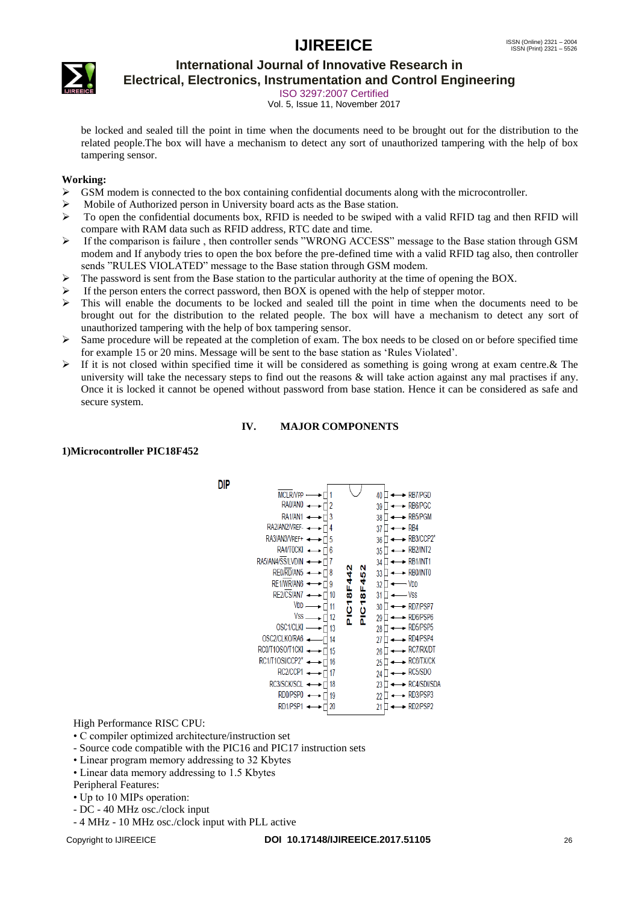

# **International Journal of Innovative Research in**

**Electrical, Electronics, Instrumentation and Control Engineering**

ISO 3297:2007 Certified Vol. 5, Issue 11, November 2017

be locked and sealed till the point in time when the documents need to be brought out for the distribution to the related people.The box will have a mechanism to detect any sort of unauthorized tampering with the help of box tampering sensor.

#### **Working:**

- $\triangleright$  GSM modem is connected to the box containing confidential documents along with the microcontroller.
- Mobile of Authorized person in University board acts as the Base station.
- $\triangleright$  To open the confidential documents box, RFID is needed to be swiped with a valid RFID tag and then RFID will compare with RAM data such as RFID address, RTC date and time.
- If the comparison is failure , then controller sends "WRONG ACCESS" message to the Base station through GSM modem and If anybody tries to open the box before the pre-defined time with a valid RFID tag also, then controller sends "RULES VIOLATED" message to the Base station through GSM modem.
- $\triangleright$  The password is sent from the Base station to the particular authority at the time of opening the BOX.
- If the person enters the correct password, then BOX is opened with the help of stepper motor.
- This will enable the documents to be locked and sealed till the point in time when the documents need to be brought out for the distribution to the related people. The box will have a mechanism to detect any sort of unauthorized tampering with the help of box tampering sensor.
- $\triangleright$  Same procedure will be repeated at the completion of exam. The box needs to be closed on or before specified time for example 15 or 20 mins. Message will be sent to the base station as "Rules Violated".
- If it is not closed within specified time it will be considered as something is going wrong at exam centre. & The university will take the necessary steps to find out the reasons  $\&$  will take action against any mal practises if any. Once it is locked it cannot be opened without password from base station. Hence it can be considered as safe and secure system.

#### **IV. MAJOR COMPONENTS**

#### **1)Microcontroller PIC18F452**

**DIP** 

| <b>MCLR/VPP</b><br>RA0/AN0<br>RA1/AN1<br>RA2/AN2/VREF-<br>RA3/AN3/VREF+<br>RA4/T0CKI<br>RA5/AN4/SS/LVDIN<br>RE0/RD/AN5<br>RE1/WR/AN6<br>RE2/CS/AN7<br>VDD<br>Vss<br><b>OSC1/CLKI</b><br>OSC2/CLKO/RA6<br>RC0/T1OSO/T1CKI<br>RC1/T10SI/CCP2*<br>RC2/CCP1<br>RC3/SCK/SCL<br>RD0/PSP0<br>RD1/PSP1 | 2<br>3<br>4<br>5<br>6<br>7<br>8<br>g<br>10<br>11<br>12<br>13<br>14<br>15<br>16<br>17<br>18<br>19<br>20 | ົ<br>10<br>₹<br>₫<br>₩<br>₩<br>ن<br>ھ<br>۳<br>٥<br>ñ | RB7/PGD<br>40<br>۰<br>RB6/PGC<br>39<br>RB5/PGM<br>38<br>RB4<br>37<br>RB3/CCP2*<br>36<br>RB <sub>2</sub> /INT <sub>2</sub><br>35<br>RB <sub>1</sub> /INT <sub>1</sub><br>34<br>RB0/INTO<br>33<br>VDD<br>32<br>- Vss<br>31<br>RD7/PSP7<br>30<br>۰<br>RD6/PSP6<br>29<br>RD5/PSP5<br>28<br>RD4/PSP4<br>27<br><b>RC7/RX/DT</b><br>26<br>RC6/TX/CK<br>25<br>RC5/SDO<br>24<br>RC4/SDI/SDA<br>23<br>RD3/PSP3<br>22<br>RD2/PSP2<br>21 |
|------------------------------------------------------------------------------------------------------------------------------------------------------------------------------------------------------------------------------------------------------------------------------------------------|--------------------------------------------------------------------------------------------------------|------------------------------------------------------|------------------------------------------------------------------------------------------------------------------------------------------------------------------------------------------------------------------------------------------------------------------------------------------------------------------------------------------------------------------------------------------------------------------------------|
|                                                                                                                                                                                                                                                                                                |                                                                                                        |                                                      |                                                                                                                                                                                                                                                                                                                                                                                                                              |

High Performance RISC CPU:

- C compiler optimized architecture/instruction set
- Source code compatible with the PIC16 and PIC17 instruction sets
- Linear program memory addressing to 32 Kbytes
- Linear data memory addressing to 1.5 Kbytes
- Peripheral Features:
- Up to 10 MIPs operation:
- DC 40 MHz osc./clock input
- 4 MHz 10 MHz osc./clock input with PLL active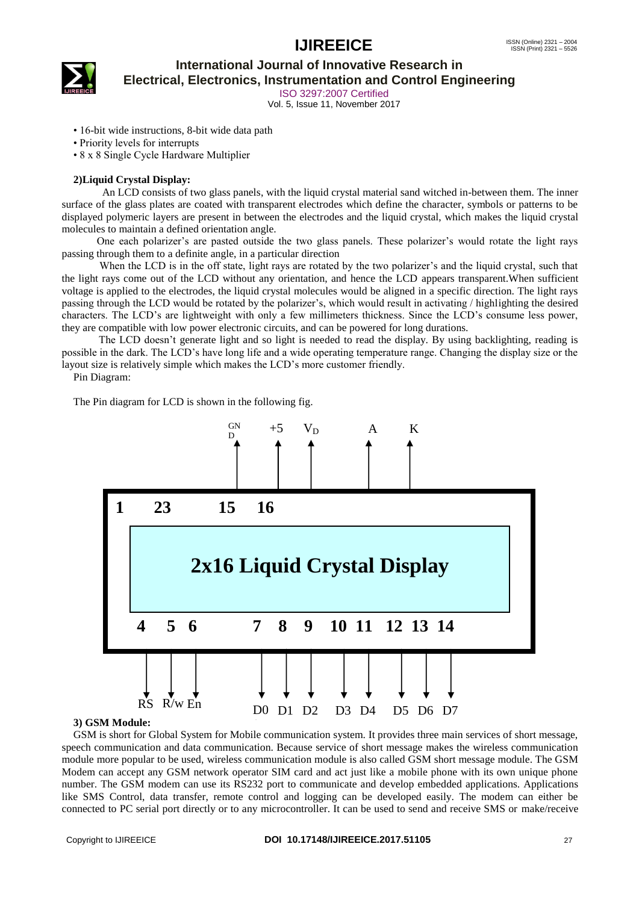

#### **International Journal of Innovative Research in Electrical, Electronics, Instrumentation and Control Engineering**

ISO 3297:2007 Certified

Vol. 5, Issue 11, November 2017

- 16-bit wide instructions, 8-bit wide data path
- Priority levels for interrupts

• 8 x 8 Single Cycle Hardware Multiplier

#### **2)Liquid Crystal Display:**

 An LCD consists of two glass panels, with the liquid crystal material sand witched in-between them. The inner surface of the glass plates are coated with transparent electrodes which define the character, symbols or patterns to be displayed polymeric layers are present in between the electrodes and the liquid crystal, which makes the liquid crystal molecules to maintain a defined orientation angle.

 One each polarizer"s are pasted outside the two glass panels. These polarizer"s would rotate the light rays passing through them to a definite angle, in a particular direction

When the LCD is in the off state, light rays are rotated by the two polarizer's and the liquid crystal, such that the light rays come out of the LCD without any orientation, and hence the LCD appears transparent.When sufficient voltage is applied to the electrodes, the liquid crystal molecules would be aligned in a specific direction. The light rays passing through the LCD would be rotated by the polarizer"s, which would result in activating / highlighting the desired characters. The LCD"s are lightweight with only a few millimeters thickness. Since the LCD"s consume less power, they are compatible with low power electronic circuits, and can be powered for long durations.

 The LCD doesn"t generate light and so light is needed to read the display. By using backlighting, reading is possible in the dark. The LCD"s have long life and a wide operating temperature range. Changing the display size or the layout size is relatively simple which makes the LCD"s more customer friendly.

Pin Diagram:

The Pin diagram for LCD is shown in the following fig.



#### **3) GSM Module:**

3) GSM Module:<br>GSM is short for Global System for Mobile communication system. It provides three main services of short message, speech communication and data communication. Because service of short message makes the wireless communication module more popular to be used, wireless communication module is also called GSM short message module. The GSM Modem can accept any GSM network operator SIM card and act just like a mobile phone with its own unique phone number. The GSM modem can use its RS232 port to communicate and develop embedded applications. Applications like SMS Control, data transfer, remote control and logging can be developed easily. The modem can either be connected to PC serial port directly or to any microcontroller. It can be used to send and receive SMS or make/receive le<br>: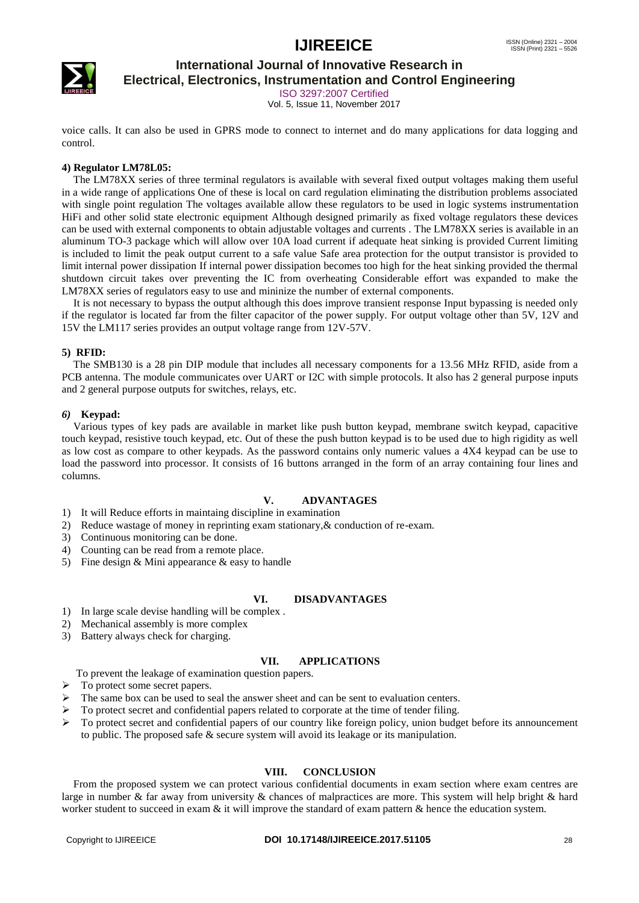

### **International Journal of Innovative Research in**

**Electrical, Electronics, Instrumentation and Control Engineering**

ISO 3297:2007 Certified

Vol. 5, Issue 11, November 2017

voice calls. It can also be used in GPRS mode to connect to internet and do many applications for data logging and control.

#### **4) Regulator LM78L05:**

The LM78XX series of three terminal regulators is available with several fixed output voltages making them useful in a wide range of applications One of these is local on card regulation eliminating the distribution problems associated with single point regulation The voltages available allow these regulators to be used in logic systems instrumentation HiFi and other solid state electronic equipment Although designed primarily as fixed voltage regulators these devices can be used with external components to obtain adjustable voltages and currents . The LM78XX series is available in an aluminum TO-3 package which will allow over 10A load current if adequate heat sinking is provided Current limiting is included to limit the peak output current to a safe value Safe area protection for the output transistor is provided to limit internal power dissipation If internal power dissipation becomes too high for the heat sinking provided the thermal shutdown circuit takes over preventing the IC from overheating Considerable effort was expanded to make the LM78XX series of regulators easy to use and mininize the number of external components.

It is not necessary to bypass the output although this does improve transient response Input bypassing is needed only if the regulator is located far from the filter capacitor of the power supply. For output voltage other than 5V, 12V and 15V the LM117 series provides an output voltage range from 12V-57V.

#### **5) RFID:**

The SMB130 is a 28 pin DIP module that includes all necessary components for a 13.56 MHz RFID, aside from a PCB antenna. The module communicates over UART or I2C with simple protocols. It also has 2 general purpose inputs and 2 general purpose outputs for switches, relays, etc.

#### *6)* **Keypad:**

Various types of key pads are available in market like push button keypad, membrane switch keypad, capacitive touch keypad, resistive touch keypad, etc. Out of these the push button keypad is to be used due to high rigidity as well as low cost as compare to other keypads. As the password contains only numeric values a 4X4 keypad can be use to load the password into processor. It consists of 16 buttons arranged in the form of an array containing four lines and columns.

#### **V. ADVANTAGES**

- 1) It will Reduce efforts in maintaing discipline in examination
- 2) Reduce wastage of money in reprinting exam stationary,& conduction of re-exam.
- 3) Continuous monitoring can be done.
- 4) Counting can be read from a remote place.
- 5) Fine design & Mini appearance & easy to handle

#### **VI. DISADVANTAGES**

- 1) In large scale devise handling will be complex .
- 2) Mechanical assembly is more complex
- 3) Battery always check for charging.

#### **VII. APPLICATIONS**

- To prevent the leakage of examination question papers.
- $\triangleright$  To protect some secret papers.
- $\triangleright$  The same box can be used to seal the answer sheet and can be sent to evaluation centers.
- To protect secret and confidential papers related to corporate at the time of tender filing.
- $\triangleright$  To protect secret and confidential papers of our country like foreign policy, union budget before its announcement to public. The proposed safe & secure system will avoid its leakage or its manipulation.

#### **VIII. CONCLUSION**

From the proposed system we can protect various confidential documents in exam section where exam centres are large in number & far away from university & chances of malpractices are more. This system will help bright & hard worker student to succeed in exam  $\&$  it will improve the standard of exam pattern  $\&$  hence the education system.

#### Copyright to IJIREEICE **DOI 10.17148/IJIREEICE.2017.51105** 28